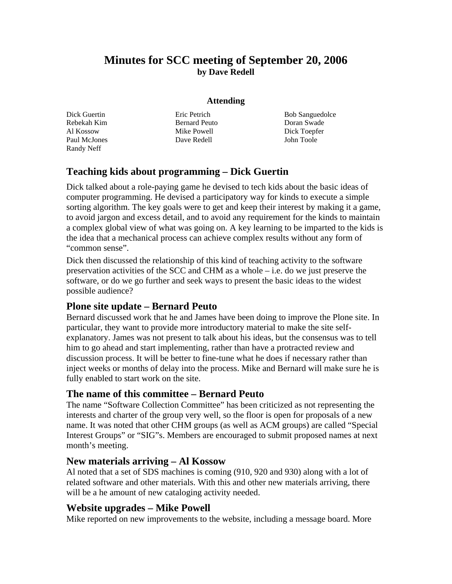# **Minutes for SCC meeting of September 20, 2006 by Dave Redell**

#### **Attending**

Dick Guertin Rebekah Kim Al Kossow Paul McJones Randy Neff

Eric Petrich Bernard Peuto Mike Powell Dave Redell

Bob Sanguedolce Doran Swade Dick Toepfer John Toole

## **Teaching kids about programming – Dick Guertin**

Dick talked about a role-paying game he devised to tech kids about the basic ideas of computer programming. He devised a participatory way for kinds to execute a simple sorting algorithm. The key goals were to get and keep their interest by making it a game, to avoid jargon and excess detail, and to avoid any requirement for the kinds to maintain a complex global view of what was going on. A key learning to be imparted to the kids is the idea that a mechanical process can achieve complex results without any form of "common sense".

Dick then discussed the relationship of this kind of teaching activity to the software preservation activities of the SCC and CHM as a whole – i.e. do we just preserve the software, or do we go further and seek ways to present the basic ideas to the widest possible audience?

### **Plone site update – Bernard Peuto**

Bernard discussed work that he and James have been doing to improve the Plone site. In particular, they want to provide more introductory material to make the site selfexplanatory. James was not present to talk about his ideas, but the consensus was to tell him to go ahead and start implementing, rather than have a protracted review and discussion process. It will be better to fine-tune what he does if necessary rather than inject weeks or months of delay into the process. Mike and Bernard will make sure he is fully enabled to start work on the site.

### **The name of this committee – Bernard Peuto**

The name "Software Collection Committee" has been criticized as not representing the interests and charter of the group very well, so the floor is open for proposals of a new name. It was noted that other CHM groups (as well as ACM groups) are called "Special Interest Groups" or "SIG"s. Members are encouraged to submit proposed names at next month's meeting.

#### **New materials arriving – Al Kossow**

Al noted that a set of SDS machines is coming (910, 920 and 930) along with a lot of related software and other materials. With this and other new materials arriving, there will be a he amount of new cataloging activity needed.

### **Website upgrades – Mike Powell**

Mike reported on new improvements to the website, including a message board. More